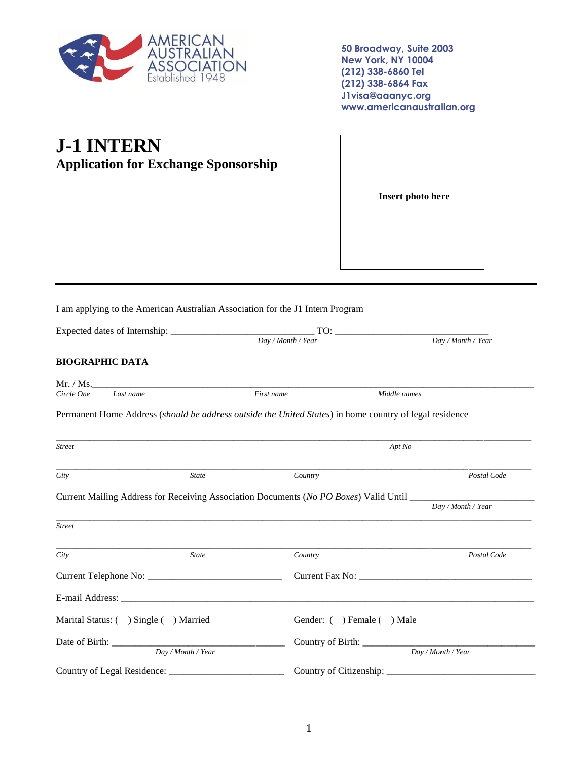

**50 Broadway, Suite 2003 New York, NY 10004 (212) 338-6860 Tel (212) 338-6864 Fax J1visa@aaanyc.org www.americanaustralian.org**

## **J-1 INTERN Application for Exchange Sponsorship**

**Insert photo here**

I am applying to the American Australian Association for the J1 Intern Program

|                                      |                    | Day / Month / Year | $\overline{Day}/\text{Month}/\text{Year}$                                                                      |  |
|--------------------------------------|--------------------|--------------------|----------------------------------------------------------------------------------------------------------------|--|
| <b>BIOGRAPHIC DATA</b>               |                    |                    |                                                                                                                |  |
|                                      | Mr. / Ms.          |                    |                                                                                                                |  |
| Circle One<br>Last name              |                    | First name         | Middle names                                                                                                   |  |
|                                      |                    |                    | Permanent Home Address (should be address outside the United States) in home country of legal residence        |  |
| <b>Street</b>                        |                    |                    | Apt No                                                                                                         |  |
| City                                 | <b>State</b>       | Country            | Postal Code                                                                                                    |  |
|                                      |                    |                    | Current Mailing Address for Receiving Association Documents (No PO Boxes) Valid Until ________________________ |  |
|                                      |                    |                    | Day / Month / Year                                                                                             |  |
| <b>Street</b>                        |                    |                    |                                                                                                                |  |
| City                                 | <b>State</b>       | Country            | Postal Code                                                                                                    |  |
|                                      |                    |                    |                                                                                                                |  |
|                                      |                    |                    |                                                                                                                |  |
| Marital Status: () Single () Married |                    |                    | Gender: () Female () Male                                                                                      |  |
|                                      |                    |                    |                                                                                                                |  |
|                                      | Day / Month / Year |                    | Day / Month / Year                                                                                             |  |
|                                      |                    |                    | Country of Citizenship: ____                                                                                   |  |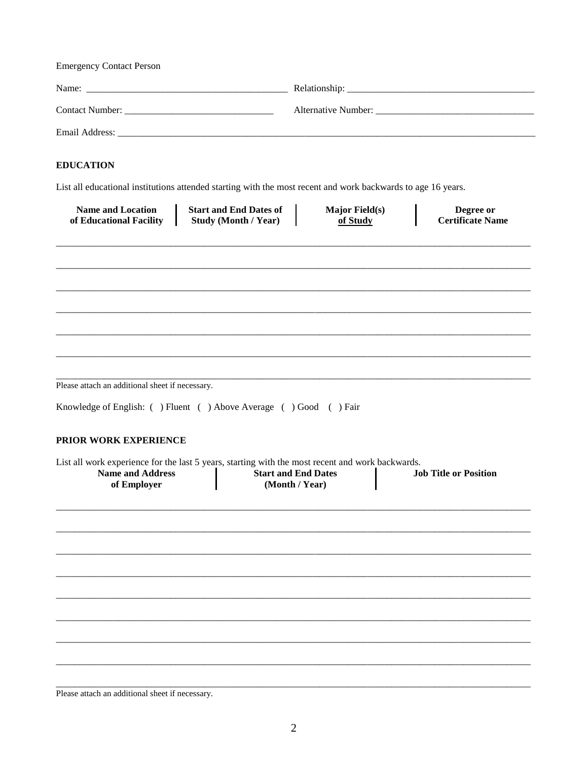| <b>Emergency Contact Person</b>                                                                                                            |                                                              |                                              |  |                                      |
|--------------------------------------------------------------------------------------------------------------------------------------------|--------------------------------------------------------------|----------------------------------------------|--|--------------------------------------|
|                                                                                                                                            |                                                              |                                              |  |                                      |
|                                                                                                                                            |                                                              |                                              |  |                                      |
| <b>EDUCATION</b>                                                                                                                           |                                                              |                                              |  |                                      |
| List all educational institutions attended starting with the most recent and work backwards to age 16 years.                               |                                                              |                                              |  |                                      |
| <b>Name and Location</b><br>of Educational Facility                                                                                        | <b>Start and End Dates of</b><br><b>Study (Month / Year)</b> | <b>Major Field(s)</b><br>of Study            |  | Degree or<br><b>Certificate Name</b> |
|                                                                                                                                            |                                                              |                                              |  |                                      |
|                                                                                                                                            |                                                              |                                              |  |                                      |
|                                                                                                                                            |                                                              |                                              |  |                                      |
|                                                                                                                                            |                                                              |                                              |  |                                      |
|                                                                                                                                            |                                                              |                                              |  |                                      |
| Please attach an additional sheet if necessary.                                                                                            |                                                              |                                              |  |                                      |
| Knowledge of English: ( ) Fluent ( ) Above Average ( ) Good ( ) Fair                                                                       |                                                              |                                              |  |                                      |
| PRIOR WORK EXPERIENCE                                                                                                                      |                                                              |                                              |  |                                      |
| List all work experience for the last 5 years, starting with the most recent and work backwards.<br><b>Name and Address</b><br>of Employer |                                                              | <b>Start and End Dates</b><br>(Month / Year) |  | <b>Job Title or Position</b>         |
|                                                                                                                                            |                                                              |                                              |  |                                      |
|                                                                                                                                            |                                                              |                                              |  |                                      |
|                                                                                                                                            |                                                              |                                              |  |                                      |
|                                                                                                                                            |                                                              |                                              |  |                                      |
|                                                                                                                                            |                                                              |                                              |  |                                      |
|                                                                                                                                            |                                                              |                                              |  |                                      |
|                                                                                                                                            |                                                              |                                              |  |                                      |
|                                                                                                                                            |                                                              |                                              |  |                                      |

Please attach an additional sheet if necessary.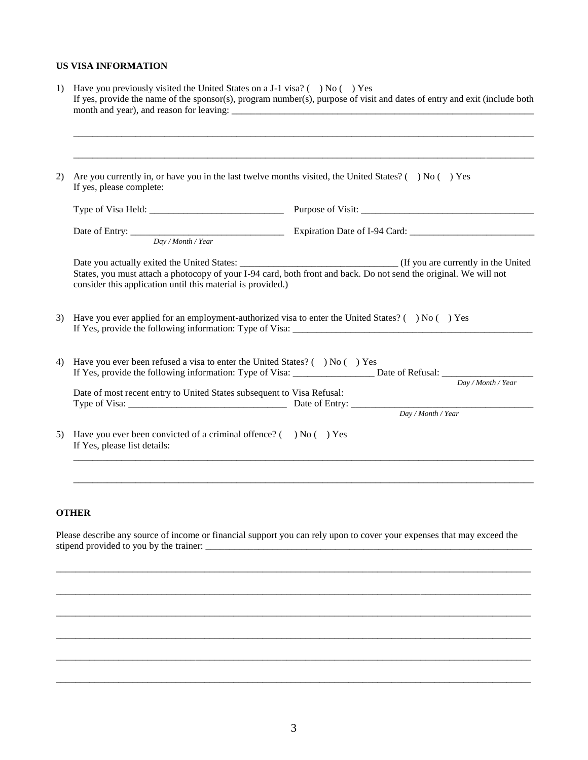## **US VISA INFORMATION**

| 2) | Are you currently in, or have you in the last twelve months visited, the United States? ( $\rightarrow$ No ( $\rightarrow$ Yes<br>If yes, please complete: |                                                                                                                            |  |  |  |
|----|------------------------------------------------------------------------------------------------------------------------------------------------------------|----------------------------------------------------------------------------------------------------------------------------|--|--|--|
|    |                                                                                                                                                            |                                                                                                                            |  |  |  |
|    |                                                                                                                                                            |                                                                                                                            |  |  |  |
|    |                                                                                                                                                            |                                                                                                                            |  |  |  |
|    | consider this application until this material is provided.)                                                                                                | States, you must attach a photocopy of your I-94 card, both front and back. Do not send the original. We will not          |  |  |  |
| 3) |                                                                                                                                                            | Have you ever applied for an employment-authorized visa to enter the United States? ( $\rightarrow$ No ( $\rightarrow$ Yes |  |  |  |
|    | Have you ever been refused a visa to enter the United States? ( ) No ( ) Yes                                                                               |                                                                                                                            |  |  |  |
| 4) | Date of most recent entry to United States subsequent to Visa Refusal:                                                                                     | Day / Month / Year<br>Type of Visa: <u>New York:</u> Date of Entry: <u>Day / Month / Year</u>                              |  |  |  |

## **OTHER**

Please describe any source of income or financial support you can rely upon to cover your expenses that may exceed the stipend provided to you by the trainer: \_\_\_\_\_\_\_\_\_\_\_\_\_\_\_\_\_\_\_\_\_\_\_\_\_\_\_\_\_\_\_\_\_\_\_\_\_\_\_\_\_\_\_\_\_\_\_\_\_\_\_\_\_\_\_\_\_\_\_\_\_\_\_\_\_\_\_\_

\_\_\_\_\_\_\_\_\_\_\_\_\_\_\_\_\_\_\_\_\_\_\_\_\_\_\_\_\_\_\_\_\_\_\_\_\_\_\_\_\_\_\_\_\_\_\_\_\_\_\_\_\_\_\_\_\_\_\_\_\_\_\_\_\_\_\_\_\_\_\_\_\_\_\_\_\_\_\_\_\_\_\_\_\_\_\_\_\_\_\_\_\_\_\_\_\_\_\_

\_\_\_\_\_\_\_\_\_\_\_\_\_\_\_\_\_\_\_\_\_\_\_\_\_\_\_\_\_\_\_\_\_\_\_\_\_\_\_\_\_\_\_\_\_\_\_\_\_\_\_\_\_\_\_\_\_\_\_\_\_\_\_\_\_\_\_\_\_\_\_\_\_\_\_\_\_\_\_\_\_\_\_\_\_\_\_\_\_\_\_\_\_\_\_\_\_\_\_

\_\_\_\_\_\_\_\_\_\_\_\_\_\_\_\_\_\_\_\_\_\_\_\_\_\_\_\_\_\_\_\_\_\_\_\_\_\_\_\_\_\_\_\_\_\_\_\_\_\_\_\_\_\_\_\_\_\_\_\_\_\_\_\_\_\_\_\_\_\_\_\_\_\_\_\_\_\_\_\_\_\_\_\_\_\_\_\_\_\_\_\_\_\_\_\_\_\_\_

\_\_\_\_\_\_\_\_\_\_\_\_\_\_\_\_\_\_\_\_\_\_\_\_\_\_\_\_\_\_\_\_\_\_\_\_\_\_\_\_\_\_\_\_\_\_\_\_\_\_\_\_\_\_\_\_\_\_\_\_\_\_\_\_\_\_\_\_\_\_\_\_\_\_\_\_\_\_\_\_\_\_\_\_\_\_\_\_\_\_\_\_\_\_\_\_\_\_\_

\_\_\_\_\_\_\_\_\_\_\_\_\_\_\_\_\_\_\_\_\_\_\_\_\_\_\_\_\_\_\_\_\_\_\_\_\_\_\_\_\_\_\_\_\_\_\_\_\_\_\_\_\_\_\_\_\_\_\_\_\_\_\_\_\_\_\_\_\_\_\_\_\_\_\_\_\_\_\_\_\_\_\_\_\_\_\_\_\_\_\_\_\_\_\_\_\_\_\_

\_\_\_\_\_\_\_\_\_\_\_\_\_\_\_\_\_\_\_\_\_\_\_\_\_\_\_\_\_\_\_\_\_\_\_\_\_\_\_\_\_\_\_\_\_\_\_\_\_\_\_\_\_\_\_\_\_\_\_\_\_\_\_\_\_\_\_\_\_\_\_\_\_\_\_\_\_\_\_\_\_\_\_\_\_\_\_\_\_\_\_\_\_\_\_\_\_\_\_